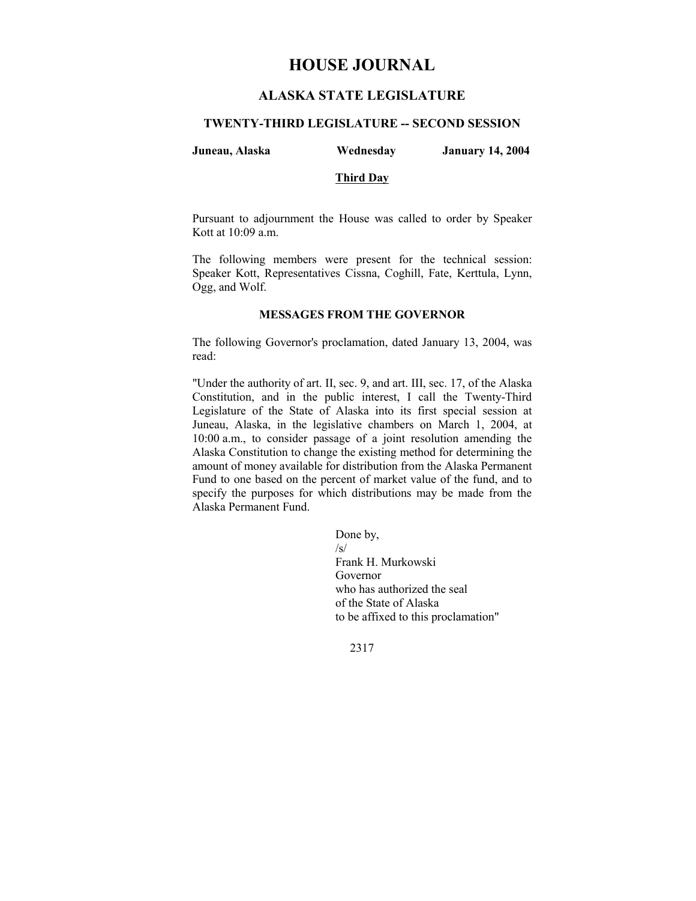# **HOUSE JOURNAL**

# **ALASKA STATE LEGISLATURE**

### **TWENTY-THIRD LEGISLATURE -- SECOND SESSION**

| Juneau, Alaska<br><b>January 14, 2004</b><br>Wednesday |  |
|--------------------------------------------------------|--|
|--------------------------------------------------------|--|

# **Third Day**

Pursuant to adjournment the House was called to order by Speaker Kott at 10:09 a.m.

The following members were present for the technical session: Speaker Kott, Representatives Cissna, Coghill, Fate, Kerttula, Lynn, Ogg, and Wolf.

### **MESSAGES FROM THE GOVERNOR**

The following Governor's proclamation, dated January 13, 2004, was read:

"Under the authority of art. II, sec. 9, and art. III, sec. 17, of the Alaska Constitution, and in the public interest, I call the Twenty-Third Legislature of the State of Alaska into its first special session at Juneau, Alaska, in the legislative chambers on March 1, 2004, at 10:00 a.m., to consider passage of a joint resolution amending the Alaska Constitution to change the existing method for determining the amount of money available for distribution from the Alaska Permanent Fund to one based on the percent of market value of the fund, and to specify the purposes for which distributions may be made from the Alaska Permanent Fund.

> Done by,  $\sqrt{s}$ Frank H. Murkowski Governor who has authorized the seal of the State of Alaska to be affixed to this proclamation"

2317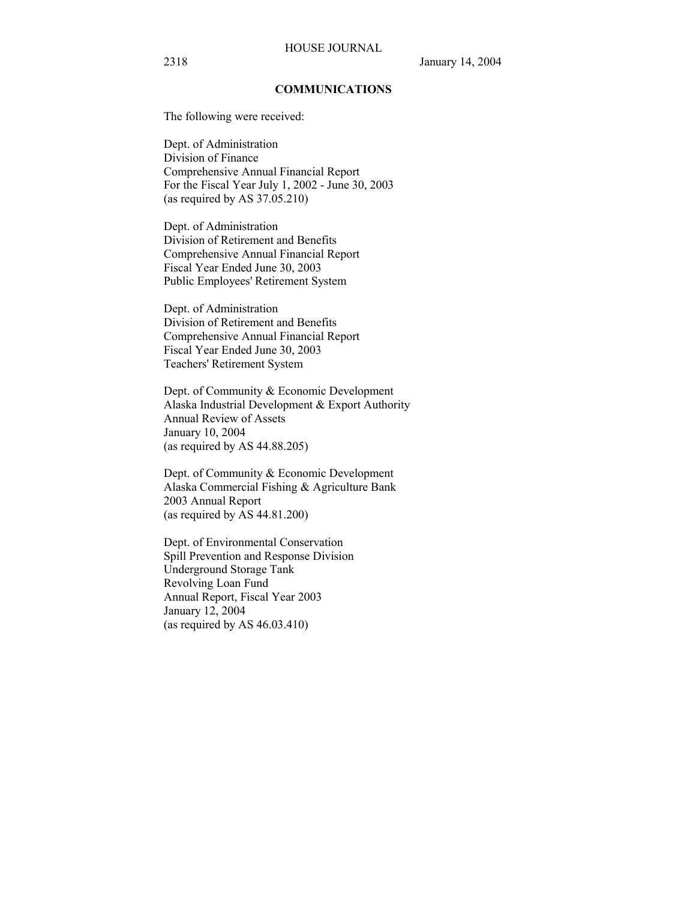### **COMMUNICATIONS**

The following were received:

Dept. of Administration Division of Finance Comprehensive Annual Financial Report For the Fiscal Year July 1, 2002 - June 30, 2003 (as required by AS 37.05.210)

Dept. of Administration Division of Retirement and Benefits Comprehensive Annual Financial Report Fiscal Year Ended June 30, 2003 Public Employees' Retirement System

Dept. of Administration Division of Retirement and Benefits Comprehensive Annual Financial Report Fiscal Year Ended June 30, 2003 Teachers' Retirement System

Dept. of Community & Economic Development Alaska Industrial Development & Export Authority Annual Review of Assets January 10, 2004 (as required by AS 44.88.205)

Dept. of Community & Economic Development Alaska Commercial Fishing & Agriculture Bank 2003 Annual Report (as required by AS 44.81.200)

Dept. of Environmental Conservation Spill Prevention and Response Division Underground Storage Tank Revolving Loan Fund Annual Report, Fiscal Year 2003 January 12, 2004 (as required by AS 46.03.410)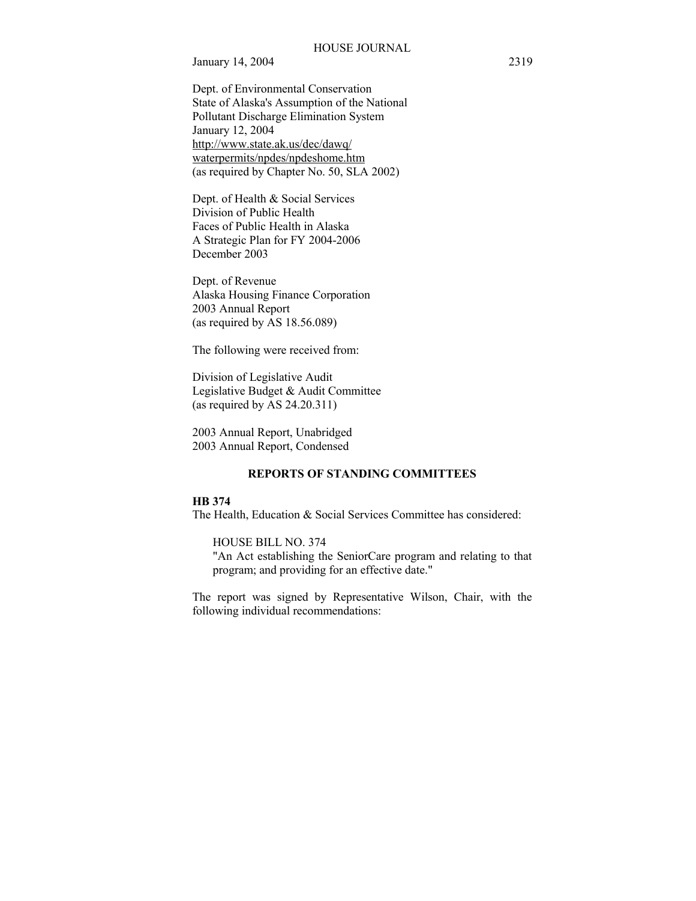January 14, 2004 2319

Dept. of Environmental Conservation State of Alaska's Assumption of the National Pollutant Discharge Elimination System January 12, 2004 http://www.state.ak.us/dec/dawq/ waterpermits/npdes/npdeshome.htm (as required by Chapter No. 50, SLA 2002)

Dept. of Health & Social Services Division of Public Health Faces of Public Health in Alaska A Strategic Plan for FY 2004-2006 December 2003

Dept. of Revenue Alaska Housing Finance Corporation 2003 Annual Report (as required by AS 18.56.089)

The following were received from:

Division of Legislative Audit Legislative Budget & Audit Committee (as required by AS 24.20.311)

2003 Annual Report, Unabridged 2003 Annual Report, Condensed

## **REPORTS OF STANDING COMMITTEES**

#### **HB 374**

The Health, Education & Social Services Committee has considered:

HOUSE BILL NO. 374

"An Act establishing the SeniorCare program and relating to that program; and providing for an effective date."

The report was signed by Representative Wilson, Chair, with the following individual recommendations: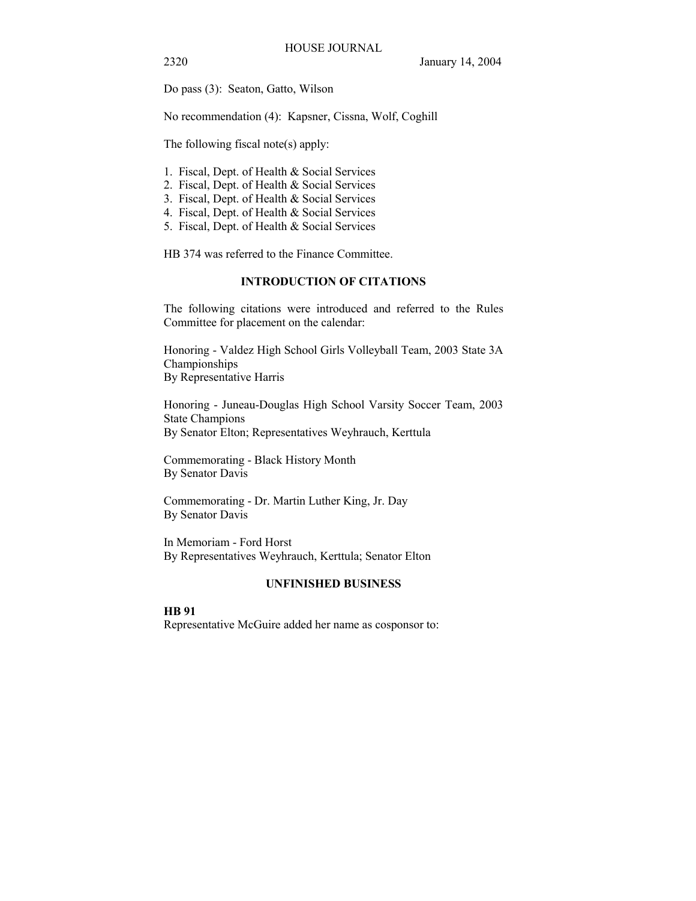2320 January 14, 2004

Do pass (3): Seaton, Gatto, Wilson

No recommendation (4): Kapsner, Cissna, Wolf, Coghill

The following fiscal note(s) apply:

- 1. Fiscal, Dept. of Health & Social Services
- 2. Fiscal, Dept. of Health & Social Services
- 3. Fiscal, Dept. of Health & Social Services
- 4. Fiscal, Dept. of Health & Social Services
- 5. Fiscal, Dept. of Health & Social Services

HB 374 was referred to the Finance Committee.

## **INTRODUCTION OF CITATIONS**

The following citations were introduced and referred to the Rules Committee for placement on the calendar:

Honoring - Valdez High School Girls Volleyball Team, 2003 State 3A Championships By Representative Harris

Honoring - Juneau-Douglas High School Varsity Soccer Team, 2003 State Champions By Senator Elton; Representatives Weyhrauch, Kerttula

Commemorating - Black History Month By Senator Davis

Commemorating - Dr. Martin Luther King, Jr. Day By Senator Davis

In Memoriam - Ford Horst By Representatives Weyhrauch, Kerttula; Senator Elton

### **UNFINISHED BUSINESS**

### **HB 91**

Representative McGuire added her name as cosponsor to: